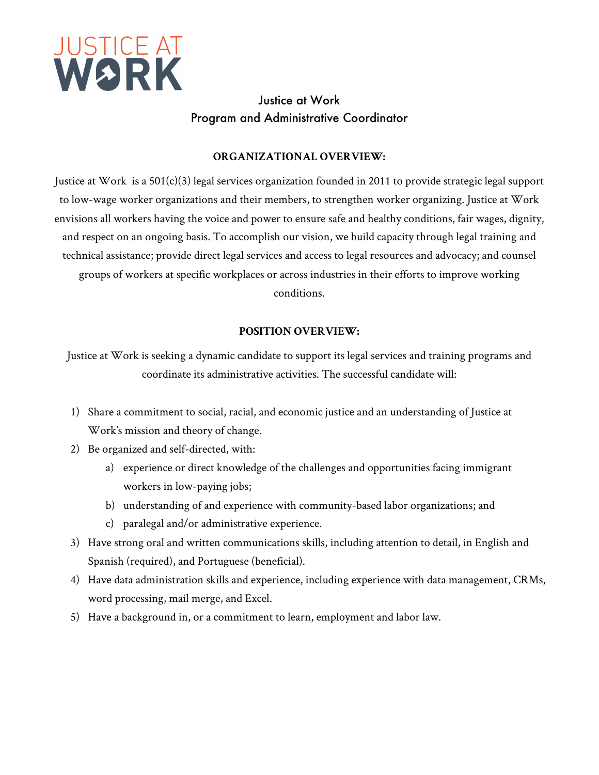

# Justice at Work Program and Administrative Coordinator

### **ORGANIZATIONAL OVERVIEW:**

Justice at Work is a  $501(c)(3)$  legal services organization founded in 2011 to provide strategic legal support to low-wage worker organizations and their members, to strengthen worker organizing. Justice at Work envisions all workers having the voice and power to ensure safe and healthy conditions, fair wages, dignity, and respect on an ongoing basis. To accomplish our vision, we build capacity through legal training and technical assistance; provide direct legal services and access to legal resources and advocacy; and counsel groups of workers at specific workplaces or across industries in their efforts to improve working conditions.

# **POSITION OVERVIEW:**

Justice at Work is seeking a dynamic candidate to support its legal services and training programs and coordinate its administrative activities. The successful candidate will:

- 1) Share a commitment to social, racial, and economic justice and an understanding of Justice at Work's mission and theory of change.
- 2) Be organized and self-directed, with:
	- a) experience or direct knowledge of the challenges and opportunities facing immigrant workers in low-paying jobs;
	- b) understanding of and experience with community-based labor organizations; and
	- c) paralegal and/or administrative experience.
- 3) Have strong oral and written communications skills, including attention to detail, in English and Spanish (required), and Portuguese (beneficial).
- 4) Have data administration skills and experience, including experience with data management, CRMs, word processing, mail merge, and Excel.
- 5) Have a background in, or a commitment to learn, employment and labor law.